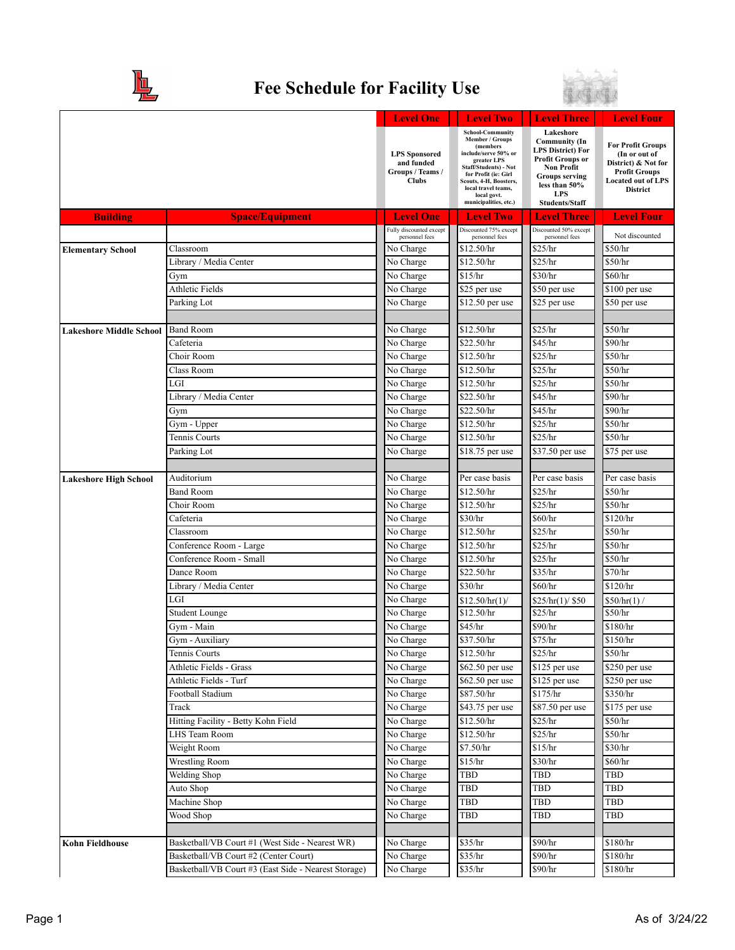

## **Fee Schedule for Facility Use**



|                                |                                                                                          | <b>Level One</b>                                                       | <b>Level Two</b>                                                                                                                                                                                                                        | <b>Level Three</b>                                                                                                                                                                             | <b>Level Four</b>                                                                                                                        |
|--------------------------------|------------------------------------------------------------------------------------------|------------------------------------------------------------------------|-----------------------------------------------------------------------------------------------------------------------------------------------------------------------------------------------------------------------------------------|------------------------------------------------------------------------------------------------------------------------------------------------------------------------------------------------|------------------------------------------------------------------------------------------------------------------------------------------|
|                                |                                                                                          | <b>LPS</b> Sponsored<br>and funded<br>Groups / Teams /<br><b>Clubs</b> | <b>School-Community</b><br>Member / Groups<br>(members<br>include/serve 50% or<br>greater LPS<br>Staff/Students) - Not<br>for Profit (ie: Girl<br>Scouts, 4-H, Boosters,<br>local travel teams,<br>local govt.<br>municipalities, etc.) | Lakeshore<br><b>Community</b> (In<br><b>LPS District) For</b><br><b>Profit Groups or</b><br><b>Non Profit</b><br><b>Groups serving</b><br>less than 50%<br><b>LPS</b><br><b>Students/Staff</b> | <b>For Profit Groups</b><br>(In or out of<br>District) & Not for<br><b>Profit Groups</b><br><b>Located out of LPS</b><br><b>District</b> |
| <b>Building</b>                | <b>Space/Equipment</b>                                                                   | <b>Level One</b>                                                       | <b>Level Two</b>                                                                                                                                                                                                                        | <b>Level Three</b>                                                                                                                                                                             | <b>Level Four</b>                                                                                                                        |
|                                |                                                                                          | Fully discounted except<br>personnel fees                              | Discounted 75% except<br>personnel fees                                                                                                                                                                                                 | Discounted 50% except<br>personnel fees                                                                                                                                                        | Not discounted                                                                                                                           |
| <b>Elementary School</b>       | Classroom                                                                                | $\overline{\text{No}}$ Charge                                          | \$12.50/hr                                                                                                                                                                                                                              | \$25/hr                                                                                                                                                                                        | \$50/hr                                                                                                                                  |
|                                | Library / Media Center                                                                   | No Charge                                                              | \$12.50/hr                                                                                                                                                                                                                              | \$25/hr                                                                                                                                                                                        | \$50/hr                                                                                                                                  |
|                                | Gym                                                                                      | No Charge                                                              | \$15/hr                                                                                                                                                                                                                                 | \$30/hr                                                                                                                                                                                        | \$60/hr                                                                                                                                  |
|                                | <b>Athletic Fields</b>                                                                   | No Charge                                                              | \$25 per use                                                                                                                                                                                                                            | \$50 per use                                                                                                                                                                                   | \$100 per use                                                                                                                            |
|                                | Parking Lot                                                                              | No Charge                                                              | \$12.50 per use                                                                                                                                                                                                                         | \$25 per use                                                                                                                                                                                   | \$50 per use                                                                                                                             |
|                                |                                                                                          |                                                                        |                                                                                                                                                                                                                                         |                                                                                                                                                                                                |                                                                                                                                          |
| <b>Lakeshore Middle School</b> | <b>Band Room</b>                                                                         | No Charge                                                              | \$12.50/hr                                                                                                                                                                                                                              | \$25/hr                                                                                                                                                                                        | \$50/hr                                                                                                                                  |
|                                | Cafeteria                                                                                | No Charge                                                              | \$22.50/hr                                                                                                                                                                                                                              | \$45/hr                                                                                                                                                                                        | \$90/hr                                                                                                                                  |
|                                | Choir Room                                                                               | No Charge                                                              | \$12.50/hr                                                                                                                                                                                                                              | \$25/hr                                                                                                                                                                                        | \$50/hr                                                                                                                                  |
|                                | Class Room                                                                               | No Charge                                                              | \$12.50/hr                                                                                                                                                                                                                              | \$25/hr                                                                                                                                                                                        | \$50/hr                                                                                                                                  |
|                                | LGI                                                                                      | No Charge                                                              | \$12.50/hr                                                                                                                                                                                                                              | \$25/hr                                                                                                                                                                                        | \$50/hr                                                                                                                                  |
|                                | Library / Media Center                                                                   | No Charge                                                              | \$22.50/hr                                                                                                                                                                                                                              | \$45/hr                                                                                                                                                                                        | \$90/hr                                                                                                                                  |
|                                | Gym                                                                                      | No Charge                                                              | \$22.50/hr                                                                                                                                                                                                                              | \$45/hr                                                                                                                                                                                        | \$90/hr                                                                                                                                  |
|                                | Gym - Upper                                                                              | No Charge                                                              | \$12.50/hr                                                                                                                                                                                                                              | \$25/hr                                                                                                                                                                                        | \$50/hr                                                                                                                                  |
|                                | Tennis Courts                                                                            | No Charge                                                              | \$12.50/hr                                                                                                                                                                                                                              | $\sqrt{$25/hr}$                                                                                                                                                                                | \$50/hr                                                                                                                                  |
|                                | Parking Lot                                                                              | No Charge                                                              | \$18.75 per use                                                                                                                                                                                                                         | \$37.50 per use                                                                                                                                                                                | $$75$ per use                                                                                                                            |
| <b>Lakeshore High School</b>   | Auditorium                                                                               | No Charge                                                              | Per case basis                                                                                                                                                                                                                          | Per case basis                                                                                                                                                                                 | Per case basis                                                                                                                           |
|                                | <b>Band Room</b>                                                                         | No Charge                                                              | \$12.50/hr                                                                                                                                                                                                                              | \$25/hr                                                                                                                                                                                        | \$50/hr                                                                                                                                  |
|                                | Choir Room                                                                               | No Charge                                                              | \$12.50/hr                                                                                                                                                                                                                              | \$25/hr                                                                                                                                                                                        | \$50/hr                                                                                                                                  |
|                                | Cafeteria                                                                                | No Charge                                                              | \$30/hr                                                                                                                                                                                                                                 | \$60/hr                                                                                                                                                                                        | \$120/hr                                                                                                                                 |
|                                | Classroom                                                                                | No Charge                                                              | \$12.50/hr                                                                                                                                                                                                                              | \$25/hr                                                                                                                                                                                        | \$50/hr                                                                                                                                  |
|                                | Conference Room - Large                                                                  | No Charge                                                              | \$12.50/hr                                                                                                                                                                                                                              | \$25/hr                                                                                                                                                                                        | \$50/hr                                                                                                                                  |
|                                | Conference Room - Small                                                                  | No Charge                                                              | \$12.50/hr                                                                                                                                                                                                                              | \$25/hr                                                                                                                                                                                        | \$50/hr                                                                                                                                  |
|                                | Dance Room                                                                               | No Charge                                                              | \$22.50/hr                                                                                                                                                                                                                              | \$35/hr                                                                                                                                                                                        | \$70/hr                                                                                                                                  |
|                                | Library / Media Center                                                                   | No Charge                                                              | \$30/hr                                                                                                                                                                                                                                 | \$60/hr                                                                                                                                                                                        | \$120/hr                                                                                                                                 |
|                                | LGI                                                                                      | No Charge                                                              | \$12.50/hr(1)                                                                                                                                                                                                                           | \$25/hr(1)/\$50                                                                                                                                                                                | \$50/hr(1) /                                                                                                                             |
|                                | <b>Student Lounge</b>                                                                    | No Charge                                                              | \$12.50/hr                                                                                                                                                                                                                              | \$25/hr                                                                                                                                                                                        | \$50/hr                                                                                                                                  |
|                                | Gym - Main                                                                               | No Charge                                                              | \$45/hr                                                                                                                                                                                                                                 | \$90/hr                                                                                                                                                                                        | \$180/hr                                                                                                                                 |
|                                | Gym - Auxiliary                                                                          | No Charge                                                              | \$37.50/hr                                                                                                                                                                                                                              | \$75/hr                                                                                                                                                                                        | \$150/hr                                                                                                                                 |
|                                | Tennis Courts                                                                            | No Charge                                                              | \$12.50/hr                                                                                                                                                                                                                              | \$25/hr                                                                                                                                                                                        | \$50/hr                                                                                                                                  |
|                                | Athletic Fields - Grass                                                                  | No Charge                                                              | \$62.50 per use                                                                                                                                                                                                                         | \$125 per use                                                                                                                                                                                  | \$250 per use                                                                                                                            |
|                                | Athletic Fields - Turf                                                                   | No Charge                                                              | \$62.50 per use                                                                                                                                                                                                                         | \$125 per use                                                                                                                                                                                  | \$250 per use                                                                                                                            |
|                                | Football Stadium                                                                         | No Charge                                                              | \$87.50/hr                                                                                                                                                                                                                              | \$175/hr                                                                                                                                                                                       | \$350/hr                                                                                                                                 |
|                                | Track                                                                                    | No Charge                                                              | \$43.75 per use                                                                                                                                                                                                                         | \$87.50 per use                                                                                                                                                                                | \$175 per use                                                                                                                            |
|                                | Hitting Facility - Betty Kohn Field                                                      | No Charge                                                              | \$12.50/hr                                                                                                                                                                                                                              | \$25/hr                                                                                                                                                                                        | \$50/hr                                                                                                                                  |
|                                | LHS Team Room                                                                            | No Charge                                                              | \$12.50/hr                                                                                                                                                                                                                              | \$25/hr                                                                                                                                                                                        | \$50/hr                                                                                                                                  |
|                                | Weight Room                                                                              | No Charge                                                              | \$7.50/hr                                                                                                                                                                                                                               | \$15/hr                                                                                                                                                                                        | \$30/hr                                                                                                                                  |
|                                | Wrestling Room                                                                           | No Charge                                                              | \$15/hr                                                                                                                                                                                                                                 | \$30/hr                                                                                                                                                                                        | \$60/hr                                                                                                                                  |
|                                | Welding Shop                                                                             | No Charge                                                              | TBD                                                                                                                                                                                                                                     | TBD                                                                                                                                                                                            | TBD                                                                                                                                      |
|                                | Auto Shop                                                                                | No Charge                                                              | TBD                                                                                                                                                                                                                                     | TBD                                                                                                                                                                                            | TBD                                                                                                                                      |
|                                | Machine Shop                                                                             | No Charge                                                              | <b>TBD</b>                                                                                                                                                                                                                              | TBD                                                                                                                                                                                            | TBD                                                                                                                                      |
|                                | Wood Shop                                                                                | No Charge                                                              | TBD                                                                                                                                                                                                                                     | TBD                                                                                                                                                                                            | <b>TBD</b>                                                                                                                               |
|                                |                                                                                          |                                                                        |                                                                                                                                                                                                                                         | \$90/hr                                                                                                                                                                                        |                                                                                                                                          |
| <b>Kohn Fieldhouse</b>         | Basketball/VB Court #1 (West Side - Nearest WR)<br>Basketball/VB Court #2 (Center Court) | No Charge<br>No Charge                                                 | \$35/hr<br>\$35/hr                                                                                                                                                                                                                      | \$90/hr                                                                                                                                                                                        | \$180/hr<br>\$180/hr                                                                                                                     |
|                                | Basketball/VB Court #3 (East Side - Nearest Storage)                                     | No Charge                                                              | \$35/hr                                                                                                                                                                                                                                 | \$90/hr                                                                                                                                                                                        | \$180/hr                                                                                                                                 |
|                                |                                                                                          |                                                                        |                                                                                                                                                                                                                                         |                                                                                                                                                                                                |                                                                                                                                          |